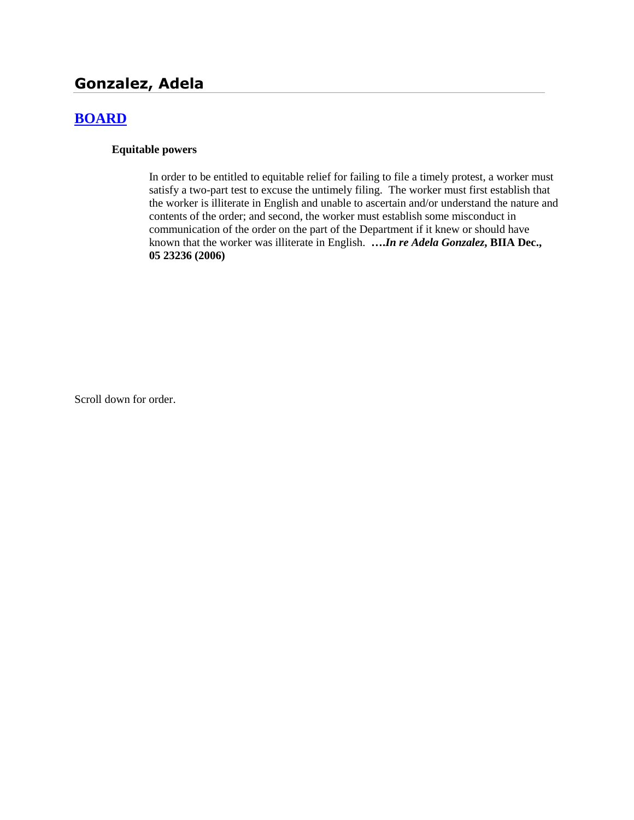## **Gonzalez, Adela**

## **[BOARD](http://www.biia.wa.gov/SDSubjectIndex.html#BOARD)**

#### **Equitable powers**

In order to be entitled to equitable relief for failing to file a timely protest, a worker must satisfy a two-part test to excuse the untimely filing. The worker must first establish that the worker is illiterate in English and unable to ascertain and/or understand the nature and contents of the order; and second, the worker must establish some misconduct in communication of the order on the part of the Department if it knew or should have known that the worker was illiterate in English. **….***In re Adela Gonzalez***, BIIA Dec., 05 23236 (2006)**

Scroll down for order.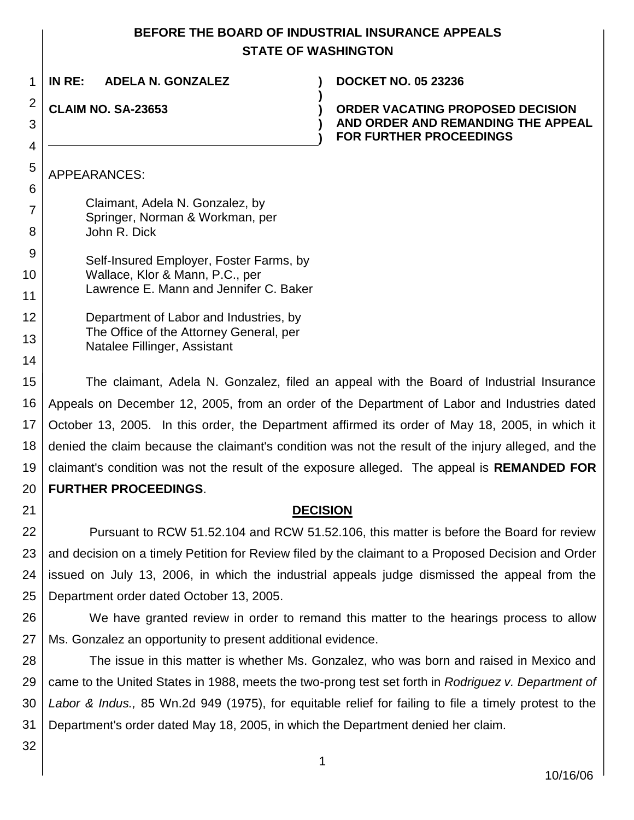# **BEFORE THE BOARD OF INDUSTRIAL INSURANCE APPEALS**

|                     | <b>STATE OF WASHINGTON</b>                                                                                                     |
|---------------------|--------------------------------------------------------------------------------------------------------------------------------|
| 1                   | IN RE:<br><b>ADELA N. GONZALEZ</b><br><b>DOCKET NO. 05 23236</b>                                                               |
| $\overline{2}$<br>3 | <b>CLAIM NO. SA-23653</b><br>ORDER VACATING PROPOSED DECISION<br>AND ORDER AND REMANDING THE APPEAL<br>FOR FURTHER PROCEEDINGS |
| 4                   |                                                                                                                                |
| 5                   | APPEARANCES:                                                                                                                   |
| 6                   | Claimant, Adela N. Gonzalez, by                                                                                                |
| $\overline{7}$      | Springer, Norman & Workman, per                                                                                                |
| 8                   | John R. Dick                                                                                                                   |
| 9                   | Self-Insured Employer, Foster Farms, by                                                                                        |
| 10                  | Wallace, Klor & Mann, P.C., per<br>Lawrence E. Mann and Jennifer C. Baker                                                      |
| 11                  |                                                                                                                                |
| 12                  | Department of Labor and Industries, by<br>The Office of the Attorney General, per                                              |
| 13                  | Natalee Fillinger, Assistant                                                                                                   |
| 14                  |                                                                                                                                |
| 15                  | The claimant, Adela N. Gonzalez, filed an appeal with the Board of Industrial Insurance                                        |
| 16                  | Appeals on December 12, 2005, from an order of the Department of Labor and Industries dated                                    |
| 17                  | October 13, 2005. In this order, the Department affirmed its order of May 18, 2005, in which it                                |
| 18                  | denied the claim because the claimant's condition was not the result of the injury alleged, and the                            |
| 19                  | claimant's condition was not the result of the exposure alleged. The appeal is <b>REMANDED FOR</b>                             |
| 20                  | <b>FURTHER PROCEEDINGS.</b>                                                                                                    |
| 21                  | <b>DECISION</b>                                                                                                                |
| 22                  | Pursuant to RCW 51.52.104 and RCW 51.52.106, this matter is before the Board for review                                        |
| 23                  | and decision on a timely Petition for Review filed by the claimant to a Proposed Decision and Order                            |
| 24                  | issued on July 13, 2006, in which the industrial appeals judge dismissed the appeal from the                                   |
| 25                  | Department order dated October 13, 2005.                                                                                       |
| 26                  | We have granted review in order to remand this matter to the hearings process to allow                                         |
| 27                  | Ms. Gonzalez an opportunity to present additional evidence.                                                                    |

28 29 30 31 The issue in this matter is whether Ms. Gonzalez, who was born and raised in Mexico and came to the United States in 1988, meets the two-prong test set forth in *Rodriguez v. Department of Labor & Indus.,* 85 Wn.2d 949 (1975), for equitable relief for failing to file a timely protest to the Department's order dated May 18, 2005, in which the Department denied her claim.

32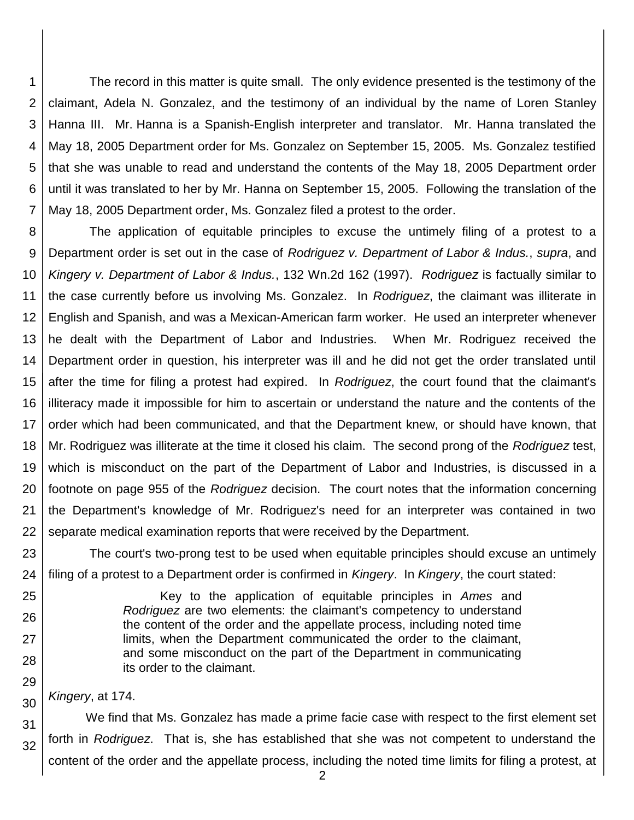1 2 3 4 5 6 7 The record in this matter is quite small. The only evidence presented is the testimony of the claimant, Adela N. Gonzalez, and the testimony of an individual by the name of Loren Stanley Hanna III. Mr. Hanna is a Spanish-English interpreter and translator. Mr. Hanna translated the May 18, 2005 Department order for Ms. Gonzalez on September 15, 2005. Ms. Gonzalez testified that she was unable to read and understand the contents of the May 18, 2005 Department order until it was translated to her by Mr. Hanna on September 15, 2005. Following the translation of the May 18, 2005 Department order, Ms. Gonzalez filed a protest to the order.

8 9 10 11 12 13 14 15 16 17 18 19 20 21 22 The application of equitable principles to excuse the untimely filing of a protest to a Department order is set out in the case of *Rodriguez v. Department of Labor & Indus.*, *supra*, and *Kingery v. Department of Labor & Indus.*, 132 Wn.2d 162 (1997). *Rodriguez* is factually similar to the case currently before us involving Ms. Gonzalez. In *Rodriguez*, the claimant was illiterate in English and Spanish, and was a Mexican-American farm worker. He used an interpreter whenever he dealt with the Department of Labor and Industries. When Mr. Rodriguez received the Department order in question, his interpreter was ill and he did not get the order translated until after the time for filing a protest had expired. In *Rodriguez*, the court found that the claimant's illiteracy made it impossible for him to ascertain or understand the nature and the contents of the order which had been communicated, and that the Department knew, or should have known, that Mr. Rodriguez was illiterate at the time it closed his claim. The second prong of the *Rodriguez* test, which is misconduct on the part of the Department of Labor and Industries, is discussed in a footnote on page 955 of the *Rodriguez* decision. The court notes that the information concerning the Department's knowledge of Mr. Rodriguez's need for an interpreter was contained in two separate medical examination reports that were received by the Department.

23 24 The court's two-prong test to be used when equitable principles should excuse an untimely filing of a protest to a Department order is confirmed in *Kingery*. In *Kingery*, the court stated:

> Key to the application of equitable principles in *Ames* and *Rodriguez* are two elements: the claimant's competency to understand the content of the order and the appellate process, including noted time limits, when the Department communicated the order to the claimant, and some misconduct on the part of the Department in communicating its order to the claimant.

*Kingery*, at 174.

25

26

27

28

29

30

31 32 We find that Ms. Gonzalez has made a prime facie case with respect to the first element set forth in *Rodriguez*. That is, she has established that she was not competent to understand the content of the order and the appellate process, including the noted time limits for filing a protest, at

2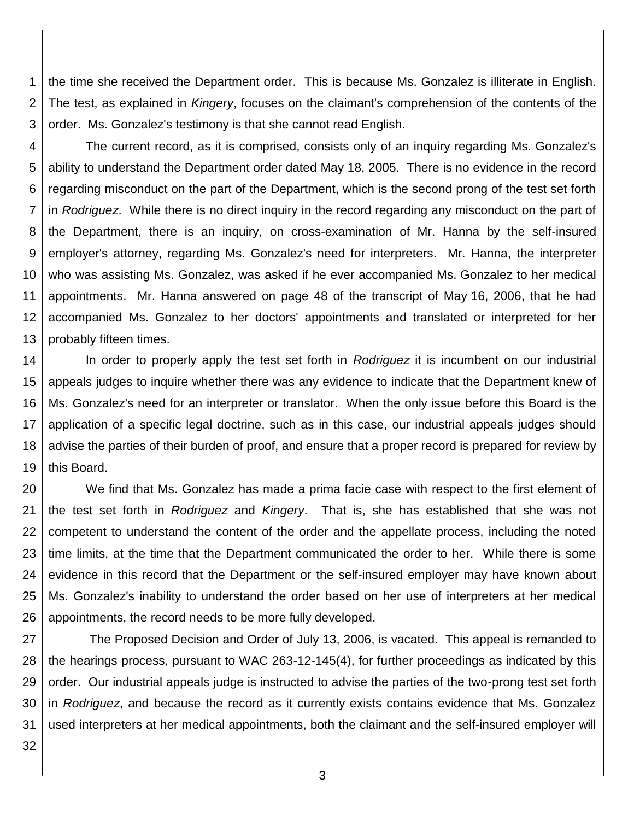1 2 3 the time she received the Department order. This is because Ms. Gonzalez is illiterate in English. The test, as explained in *Kingery*, focuses on the claimant's comprehension of the contents of the order. Ms. Gonzalez's testimony is that she cannot read English.

4 5 6 7 8 9 10 11 12 13 The current record, as it is comprised, consists only of an inquiry regarding Ms. Gonzalez's ability to understand the Department order dated May 18, 2005. There is no evidence in the record regarding misconduct on the part of the Department, which is the second prong of the test set forth in *Rodriguez*. While there is no direct inquiry in the record regarding any misconduct on the part of the Department, there is an inquiry, on cross-examination of Mr. Hanna by the self-insured employer's attorney, regarding Ms. Gonzalez's need for interpreters. Mr. Hanna, the interpreter who was assisting Ms. Gonzalez, was asked if he ever accompanied Ms. Gonzalez to her medical appointments. Mr. Hanna answered on page 48 of the transcript of May 16, 2006, that he had accompanied Ms. Gonzalez to her doctors' appointments and translated or interpreted for her probably fifteen times.

14 15 16 17 18 19 In order to properly apply the test set forth in *Rodriguez* it is incumbent on our industrial appeals judges to inquire whether there was any evidence to indicate that the Department knew of Ms. Gonzalez's need for an interpreter or translator. When the only issue before this Board is the application of a specific legal doctrine, such as in this case, our industrial appeals judges should advise the parties of their burden of proof, and ensure that a proper record is prepared for review by this Board.

20 21 22 23 24 25 26 We find that Ms. Gonzalez has made a prima facie case with respect to the first element of the test set forth in *Rodriguez* and *Kingery*. That is, she has established that she was not competent to understand the content of the order and the appellate process, including the noted time limits, at the time that the Department communicated the order to her. While there is some evidence in this record that the Department or the self-insured employer may have known about Ms. Gonzalez's inability to understand the order based on her use of interpreters at her medical appointments, the record needs to be more fully developed.

27 28 29 30 31 The Proposed Decision and Order of July 13, 2006, is vacated. This appeal is remanded to the hearings process, pursuant to WAC 263-12-145(4), for further proceedings as indicated by this order. Our industrial appeals judge is instructed to advise the parties of the two-prong test set forth in *Rodriguez*, and because the record as it currently exists contains evidence that Ms. Gonzalez used interpreters at her medical appointments, both the claimant and the self-insured employer will

32

3